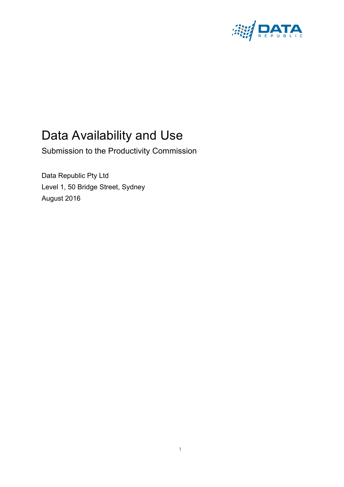

# Data Availability and Use

Submission to the Productivity Commission

Data Republic Pty Ltd Level 1, 50 Bridge Street, Sydney August 2016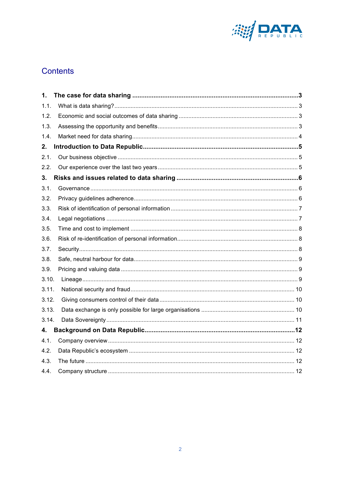

# Contents

| 1.    |  |
|-------|--|
| 1.1.  |  |
| 1.2.  |  |
| 1.3.  |  |
| 1.4.  |  |
| 2.    |  |
| 2.1.  |  |
| 2.2.  |  |
| 3.    |  |
| 3.1.  |  |
| 3.2.  |  |
| 3.3.  |  |
| 3.4.  |  |
| 3.5.  |  |
| 3.6.  |  |
| 3.7.  |  |
| 3.8.  |  |
| 3.9.  |  |
| 3.10. |  |
| 3.11. |  |
| 3.12. |  |
| 3.13. |  |
| 3.14. |  |
| 4.    |  |
| 4.1.  |  |
| 4.2.  |  |
| 4.3.  |  |
| 4.4.  |  |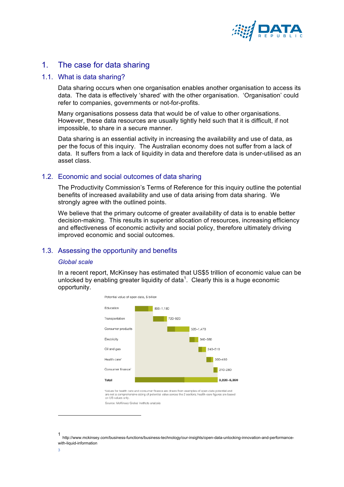

# 1. The case for data sharing

# 1.1. What is data sharing?

Data sharing occurs when one organisation enables another organisation to access its data. The data is effectively 'shared' with the other organisation. 'Organisation' could refer to companies, governments or not-for-profits.

Many organisations possess data that would be of value to other organisations. However, these data resources are usually tightly held such that it is difficult, if not impossible, to share in a secure manner.

Data sharing is an essential activity in increasing the availability and use of data, as per the focus of this inquiry. The Australian economy does not suffer from a lack of data. It suffers from a lack of liquidity in data and therefore data is under-utilised as an asset class.

# 1.2. Economic and social outcomes of data sharing

The Productivity Commission's Terms of Reference for this inquiry outline the potential benefits of increased availability and use of data arising from data sharing. We strongly agree with the outlined points.

We believe that the primary outcome of greater availability of data is to enable better decision-making. This results in superior allocation of resources, increasing efficiency and effectiveness of economic activity and social policy, therefore ultimately driving improved economic and social outcomes.

# 1.3. Assessing the opportunity and benefits

#### *Global scale*

In a recent report, McKinsey has estimated that US\$5 trillion of economic value can be unlocked by enabling greater liquidity of data<sup>1</sup>. Clearly this is a huge economic opportunity.



' values for nealth care and consumer finance are drawn from examples of open-data potential and<br>are not a comprehensive sizing of potential value across the 2 sectors; health-care figures are based<br>on US values only.

Source: McKinsey Global Institute analysis

<sup>1</sup> http://www.mckinsey.com/business-functions/business-technology/our-insights/open-data-unlocking-innovation-and-performancewith-liquid-information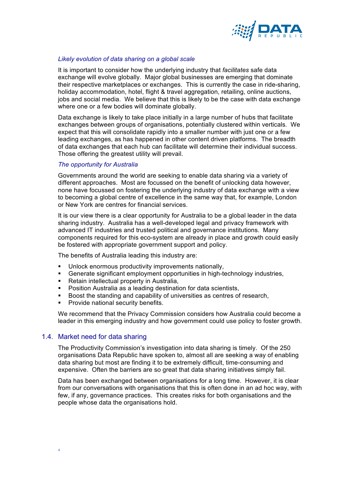

## *Likely evolution of data sharing on a global scale*

It is important to consider how the underlying industry that *facilitates* safe data exchange will evolve globally. Major global businesses are emerging that dominate their respective marketplaces or exchanges. This is currently the case in ride-sharing, holiday accommodation, hotel, flight & travel aggregation, retailing, online auctions, jobs and social media. We believe that this is likely to be the case with data exchange where one or a few bodies will dominate globally.

Data exchange is likely to take place initially in a large number of hubs that facilitate exchanges between groups of organisations, potentially clustered within verticals. We expect that this will consolidate rapidly into a smaller number with just one or a few leading exchanges, as has happened in other content driven platforms. The breadth of data exchanges that each hub can facilitate will determine their individual success. Those offering the greatest utility will prevail.

## *The opportunity for Australia*

Governments around the world are seeking to enable data sharing via a variety of different approaches. Most are focussed on the benefit of unlocking data however, none have focussed on fostering the underlying industry of data exchange with a view to becoming a global centre of excellence in the same way that, for example, London or New York are centres for financial services.

It is our view there is a clear opportunity for Australia to be a global leader in the data sharing industry. Australia has a well-developed legal and privacy framework with advanced IT industries and trusted political and governance institutions. Many components required for this eco-system are already in place and growth could easily be fostered with appropriate government support and policy.

The benefits of Australia leading this industry are:

- Unlock enormous productivity improvements nationally,
- § Generate significant employment opportunities in high-technology industries,
- Retain intellectual property in Australia,
- § Position Australia as a leading destination for data scientists,
- Boost the standing and capability of universities as centres of research,
- § Provide national security benefits.

We recommend that the Privacy Commission considers how Australia could become a leader in this emerging industry and how government could use policy to foster growth.

# 1.4. Market need for data sharing

The Productivity Commission's investigation into data sharing is timely. Of the 250 organisations Data Republic have spoken to, almost all are seeking a way of enabling data sharing but most are finding it to be extremely difficult, time-consuming and expensive. Often the barriers are so great that data sharing initiatives simply fail.

Data has been exchanged between organisations for a long time. However, it is clear from our conversations with organisations that this is often done in an ad hoc way, with few, if any, governance practices. This creates risks for both organisations and the people whose data the organisations hold.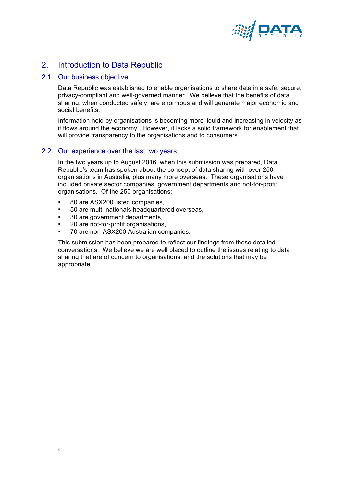

# 2. Introduction to Data Republic

# 2.1. Our business objective

Data Republic was established to enable organisations to share data in a safe, secure, privacy-compliant and well-governed manner. We believe that the benefits of data sharing, when conducted safely, are enormous and will generate major economic and social benefits.

Information held by organisations is becoming more liquid and increasing in velocity as it flows around the economy. However, it lacks a solid framework for enablement that will provide transparency to the organisations and to consumers.

## 2.2. Our experience over the last two years

In the two years up to August 2016, when this submission was prepared, Data Republic's team has spoken about the concept of data sharing with over 250 organisations in Australia, plus many more overseas. These organisations have included private sector companies, government departments and not-for-profit organisations. Of the 250 organisations:

- § 80 are ASX200 listed companies,
- § 50 are multi-nationals headquartered overseas,
- § 30 are government departments,
- § 20 are not-for-profit organisations,

5

§ 70 are non-ASX200 Australian companies.

This submission has been prepared to reflect our findings from these detailed conversations. We believe we are well placed to outline the issues relating to data sharing that are of concern to organisations, and the solutions that may be appropriate.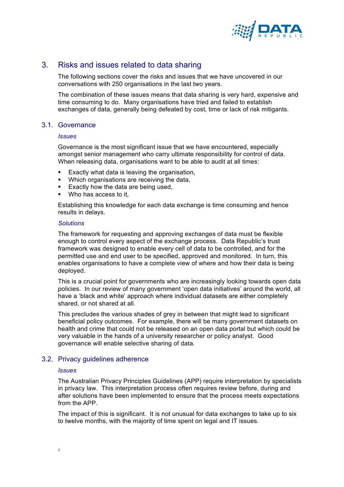

# 3. Risks and issues related to data sharing

The following sections cover the risks and issues that we have uncovered in our conversations with 250 organisations in the last two years.

The combination of these issues means that data sharing is very hard, expensive and time consuming to do. Many organisations have tried and failed to establish exchanges of data, generally being defeated by cost, time or lack of risk mitigants.

# 3.1. Governance

#### *Issues*

Governance is the most significant issue that we have encountered, especially amongst senior management who carry ultimate responsibility for control of data. When releasing data, organisations want to be able to audit at all times:

- Exactly what data is leaving the organisation,
- Which organisations are receiving the data,
- Exactly how the data are being used.
- Who has access to it.

Establishing this knowledge for each data exchange is time consuming and hence results in delays.

#### *Solutions*

The framework for requesting and approving exchanges of data must be flexible enough to control every aspect of the exchange process. Data Republic's trust framework was designed to enable every cell of data to be controlled, and for the permitted use and end user to be specified, approved and monitored. In turn, this enables organisations to have a complete view of where and how their data is being deployed.

This is a crucial point for governments who are increasingly looking towards open data policies. In our review of many government 'open data initiatives' around the world, all have a 'black and white' approach where individual datasets are either completely shared, or not shared at all.

This precludes the various shades of grey in between that might lead to significant beneficial policy outcomes. For example, there will be many government datasets on health and crime that could not be released on an open data portal but which could be very valuable in the hands of a university researcher or policy analyst. Good governance will enable selective sharing of data.

## 3.2. Privacy guidelines adherence

#### *Issues*

The Australian Privacy Principles Guidelines (APP) require interpretation by specialists in privacy law. This interpretation process often requires review before, during and after solutions have been implemented to ensure that the process meets expectations from the APP.

The impact of this is significant. It is not unusual for data exchanges to take up to six to twelve months, with the majority of time spent on legal and IT issues.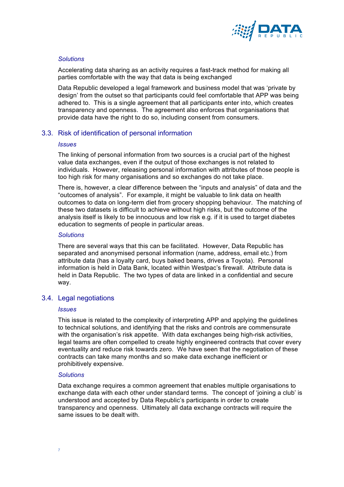

# *Solutions*

Accelerating data sharing as an activity requires a fast-track method for making all parties comfortable with the way that data is being exchanged

Data Republic developed a legal framework and business model that was 'private by design' from the outset so that participants could feel comfortable that APP was being adhered to. This is a single agreement that all participants enter into, which creates transparency and openness. The agreement also enforces that organisations that provide data have the right to do so, including consent from consumers.

# 3.3. Risk of identification of personal information

#### *Issues*

The linking of personal information from two sources is a crucial part of the highest value data exchanges, even if the output of those exchanges is not related to individuals. However, releasing personal information with attributes of those people is too high risk for many organisations and so exchanges do not take place.

There is, however, a clear difference between the "inputs and analysis" of data and the "outcomes of analysis". For example, it might be valuable to link data on health outcomes to data on long-term diet from grocery shopping behaviour. The matching of these two datasets is difficult to achieve without high risks, but the outcome of the analysis itself is likely to be innocuous and low risk e.g. if it is used to target diabetes education to segments of people in particular areas.

#### *Solutions*

There are several ways that this can be facilitated. However, Data Republic has separated and anonymised personal information (name, address, email etc.) from attribute data (has a loyalty card, buys baked beans, drives a Toyota). Personal information is held in Data Bank, located within Westpac's firewall. Attribute data is held in Data Republic. The two types of data are linked in a confidential and secure way.

# 3.4. Legal negotiations

#### *Issues*

This issue is related to the complexity of interpreting APP and applying the guidelines to technical solutions, and identifying that the risks and controls are commensurate with the organisation's risk appetite. With data exchanges being high-risk activities, legal teams are often compelled to create highly engineered contracts that cover every eventuality and reduce risk towards zero. We have seen that the negotiation of these contracts can take many months and so make data exchange inefficient or prohibitively expensive.

#### *Solutions*

Data exchange requires a common agreement that enables multiple organisations to exchange data with each other under standard terms. The concept of 'joining a club' is understood and accepted by Data Republic's participants in order to create transparency and openness. Ultimately all data exchange contracts will require the same issues to be dealt with.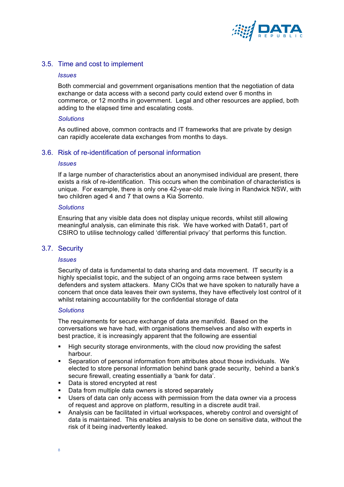

# 3.5. Time and cost to implement

#### *Issues*

Both commercial and government organisations mention that the negotiation of data exchange or data access with a second party could extend over 6 months in commerce, or 12 months in government. Legal and other resources are applied, both adding to the elapsed time and escalating costs.

#### *Solutions*

As outlined above, common contracts and IT frameworks that are private by design can rapidly accelerate data exchanges from months to days.

## 3.6. Risk of re-identification of personal information

#### *Issues*

If a large number of characteristics about an anonymised individual are present, there exists a risk of re-identification. This occurs when the combination of characteristics is unique. For example, there is only one 42-year-old male living in Randwick NSW, with two children aged 4 and 7 that owns a Kia Sorrento.

#### *Solutions*

Ensuring that any visible data does not display unique records, whilst still allowing meaningful analysis, can eliminate this risk. We have worked with Data61, part of CSIRO to utilise technology called 'differential privacy' that performs this function.

#### 3.7. Security

#### *Issues*

Security of data is fundamental to data sharing and data movement. IT security is a highly specialist topic, and the subject of an ongoing arms race between system defenders and system attackers. Many CIOs that we have spoken to naturally have a concern that once data leaves their own systems, they have effectively lost control of it whilst retaining accountability for the confidential storage of data

#### *Solutions*

The requirements for secure exchange of data are manifold. Based on the conversations we have had, with organisations themselves and also with experts in best practice, it is increasingly apparent that the following are essential

- High security storage environments, with the cloud now providing the safest harbour.
- § Separation of personal information from attributes about those individuals. We elected to store personal information behind bank grade security, behind a bank's secure firewall, creating essentially a 'bank for data'.
- § Data is stored encrypted at rest
- Data from multiple data owners is stored separately
- § Users of data can only access with permission from the data owner via a process of request and approve on platform, resulting in a discrete audit trail.
- § Analysis can be facilitated in virtual workspaces, whereby control and oversight of data is maintained. This enables analysis to be done on sensitive data, without the risk of it being inadvertently leaked.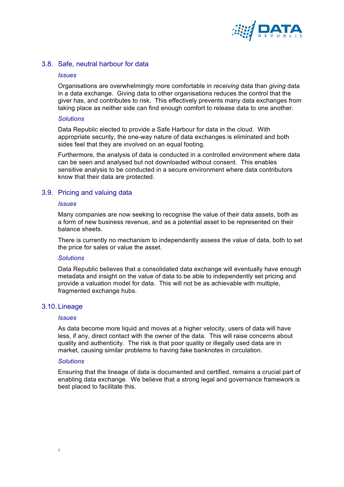

# 3.8. Safe, neutral harbour for data

#### *Issues*

Organisations are overwhelmingly more comfortable in *receiving* data than *giving* data in a data exchange. Giving data to other organisations reduces the control that the giver has, and contributes to risk. This effectively prevents many data exchanges from taking place as neither side can find enough comfort to release data to one another.

#### *Solutions*

Data Republic elected to provide a Safe Harbour for data in the cloud. With appropriate security, the one-way nature of data exchanges is eliminated and both sides feel that they are involved on an equal footing.

Furthermore, the analysis of data is conducted in a controlled environment where data can be seen and analysed but not downloaded without consent. This enables sensitive analysis to be conducted in a secure environment where data contributors know that their data are protected.

# 3.9. Pricing and valuing data

#### *Issues*

Many companies are now seeking to recognise the value of their data assets, both as a form of new business revenue, and as a potential asset to be represented on their balance sheets.

There is currently no mechanism to independently assess the value of data, both to set the price for sales or value the asset.

#### *Solutions*

Data Republic believes that a consolidated data exchange will eventually have enough metadata and insight on the value of data to be able to independently set pricing and provide a valuation model for data. This will not be as achievable with multiple, fragmented exchange hubs.

#### 3.10.Lineage

#### *Issues*

As data become more liquid and moves at a higher velocity, users of data will have less, if any, direct contact with the owner of the data. This will raise concerns about quality and authenticity. The risk is that poor quality or illegally used data are in market, causing similar problems to having fake banknotes in circulation.

#### *Solutions*

Ensuring that the lineage of data is documented and certified, remains a crucial part of enabling data exchange. We believe that a strong legal and governance framework is best placed to facilitate this.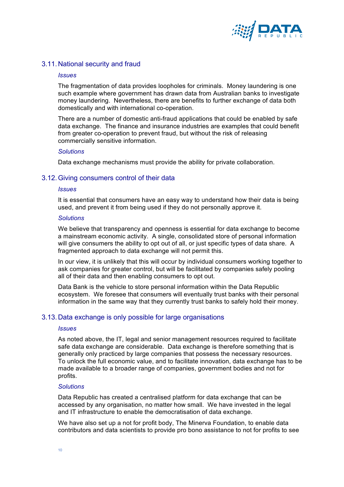

# 3.11.National security and fraud

#### *Issues*

The fragmentation of data provides loopholes for criminals. Money laundering is one such example where government has drawn data from Australian banks to investigate money laundering. Nevertheless, there are benefits to further exchange of data both domestically and with international co-operation.

There are a number of domestic anti-fraud applications that could be enabled by safe data exchange. The finance and insurance industries are examples that could benefit from greater co-operation to prevent fraud, but without the risk of releasing commercially sensitive information.

#### *Solutions*

Data exchange mechanisms must provide the ability for private collaboration.

## 3.12.Giving consumers control of their data

#### *Issues*

It is essential that consumers have an easy way to understand how their data is being used, and prevent it from being used if they do not personally approve it.

#### *Solutions*

We believe that transparency and openness is essential for data exchange to become a mainstream economic activity. A single, consolidated store of personal information will give consumers the ability to opt out of all, or just specific types of data share. A fragmented approach to data exchange will not permit this.

In our view, it is unlikely that this will occur by individual consumers working together to ask companies for greater control, but will be facilitated by companies safely pooling all of their data and then enabling consumers to opt out.

Data Bank is the vehicle to store personal information within the Data Republic ecosystem. We foresee that consumers will eventually trust banks with their personal information in the same way that they currently trust banks to safely hold their money.

#### 3.13.Data exchange is only possible for large organisations

#### *Issues*

As noted above, the IT, legal and senior management resources required to facilitate safe data exchange are considerable. Data exchange is therefore something that is generally only practiced by large companies that possess the necessary resources. To unlock the full economic value, and to facilitate innovation, data exchange has to be made available to a broader range of companies, government bodies and not for profits.

#### *Solutions*

Data Republic has created a centralised platform for data exchange that can be accessed by any organisation, no matter how small. We have invested in the legal and IT infrastructure to enable the democratisation of data exchange.

We have also set up a not for profit body, The Minerva Foundation, to enable data contributors and data scientists to provide pro bono assistance to not for profits to see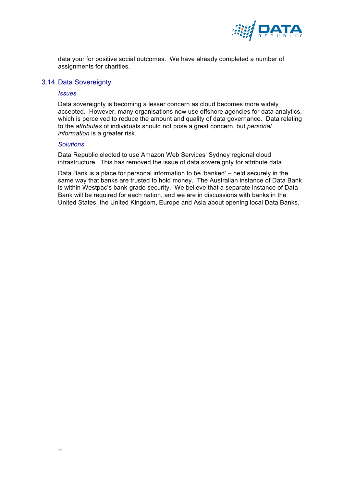

data your for positive social outcomes. We have already completed a number of assignments for charities.

# 3.14.Data Sovereignty

#### *Issues*

Data sovereignty is becoming a lesser concern as cloud becomes more widely accepted. However, many organisations now use offshore agencies for data analytics, which is perceived to reduce the amount and quality of data governance. Data relating to the *attributes* of individuals should not pose a great concern, but *personal information* is a greater risk.

#### *Solutions*

Data Republic elected to use Amazon Web Services' Sydney regional cloud infrastructure. This has removed the issue of data sovereignty for attribute data

Data Bank is a place for personal information to be 'banked' – held securely in the same way that banks are trusted to hold money. The Australian instance of Data Bank is within Westpac's bank-grade security. We believe that a separate instance of Data Bank will be required for each nation, and we are in discussions with banks in the United States, the United Kingdom, Europe and Asia about opening local Data Banks.